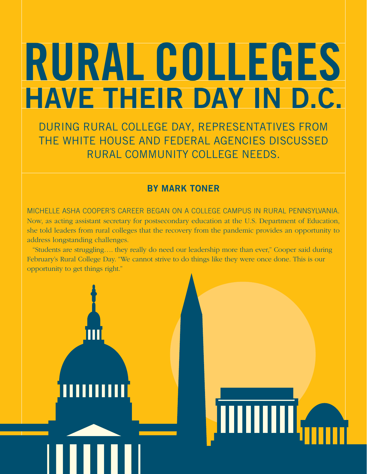# RURAL COLLEGES HAVE THEIR DAY IN D.C.

DURING RURAL COLLEGE DAY, REPRESENTATIVES FROM THE WHITE HOUSE AND FEDERAL AGENCIES DISCUSSED RURAL COMMUNITY COLLEGE NEEDS.

## BY MARK TONER

MICHELLE ASHA COOPER'S CAREER BEGAN ON A COLLEGE CAMPUS IN RURAL PENNSYLVANIA. Now, as acting assistant secretary for postsecondary education at the U.S. Department of Education, she told leaders from rural colleges that the recovery from the pandemic provides an opportunity to address longstanding challenges.

"Students are struggling…. they really do need our leadership more than ever," Cooper said during February's Rural College Day. "We cannot strive to do things like they were once done. This is our opportunity to get things right."



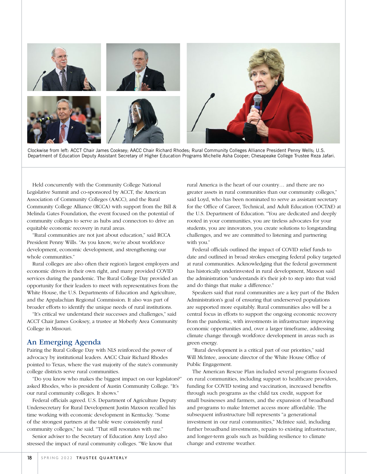

Clockwise from left: ACCT Chair James Cooksey; AACC Chair Richard Rhodes; Rural Community Colleges Alliance President Penny Wells; U.S. Department of Education Deputy Assistant Secretary of Higher Education Programs Michelle Asha Cooper; Chesapeake College Trustee Reza Jafari.

Held concurrently with the Community College National Legislative Summit and co-sponsored by ACCT, the American Association of Community Colleges (AACC), and the Rural Community College Alliance (RCCA) with support from the Bill & Melinda Gates Foundation, the event focused on the potential of community colleges to serve as hubs and connectors to drive an equitable economic recovery in rural areas.

"Rural communities are not just about education," said RCCA President Penny Wills. "As you know, we're about workforce development, economic development, and strengthening our whole communities."

Rural colleges are also often their region's largest employers and economic drivers in their own right, and many provided COVID services during the pandemic. The Rural College Day provided an opportunity for their leaders to meet with representatives from the White House, the U.S. Departments of Education and Agriculture, and the Appalachian Regional Commission. It also was part of broader efforts to identify the unique needs of rural institutions.

"It's critical we understand their successes and challenges," said ACCT Chair James Cooksey, a trustee at Moberly Area Community College in Missouri.

### An Emerging Agenda

Pairing the Rural College Day with NLS reinforced the power of advocacy by institutional leaders. AACC Chair Richard Rhodes pointed to Texas, where the vast majority of the state's community college districts serve rural communities.

"Do you know who makes the biggest impact on our legislators?" asked Rhodes, who is president of Austin Community College. "It's our rural community colleges. It shows."

Federal officials agreed. U.S. Department of Agriculture Deputy Undersecretary for Rural Development Justin Maxson recalled his time working with economic development in Kentucky. "Some of the strongest partners at the table were consistently rural community colleges," he said. "That still resonates with me."

Senior adviser to the Secretary of Education Amy Loyd also stressed the impact of rural community colleges. "We know that

rural America is the heart of our country… and there are no greater assets in rural communities than our community colleges," said Loyd, who has been nominated to serve as assistant secretary for the Office of Career, Technical, and Adult Education (OCTAE) at the U.S. Department of Education. "You are dedicated and deeply rooted in your communities, you are tireless advocates for your students, you are innovators, you create solutions to longstanding challenges, and we are committed to listening and partnering with you."

Federal officials outlined the impact of COVID relief funds to date and outlined in broad strokes emerging federal policy targeted at rural communities. Acknowledging that the federal government has historically underinvested in rural development, Maxson said the administration "understands it's their job to step into that void and do things that make a difference."

Speakers said that rural communities are a key part of the Biden Administration's goal of ensuring that underserved populations are supported more equitably. Rural communities also will be a central focus in efforts to support the ongoing economic recovery from the pandemic, with investments in infrastructure improving economic opportunities and, over a larger timeframe, addressing climate change through workforce development in areas such as green energy.

"Rural development is a critical part of our priorities," said Will McIntee, associate director of the White House Office of Public Engagement.

The American Rescue Plan included several programs focused on rural communities, including support to healthcare providers, funding for COVID testing and vaccination, increased benefits through such programs as the child tax credit, support for small businesses and farmers, and the expansion of broadband and programs to make Internet access more affordable. The subsequent infrastructure bill represents "a generational investment in our rural communities," McIntee said, including further broadband investments, repairs to existing infrastructure, and longer-term goals such as building resilience to climate change and extreme weather.